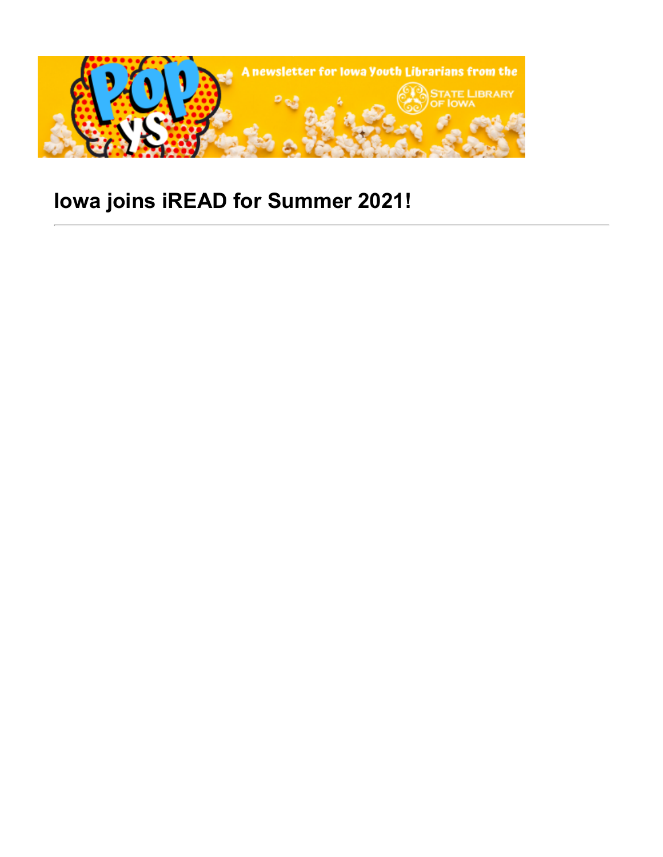

# **Iowa joins iREAD for Summer 2021!**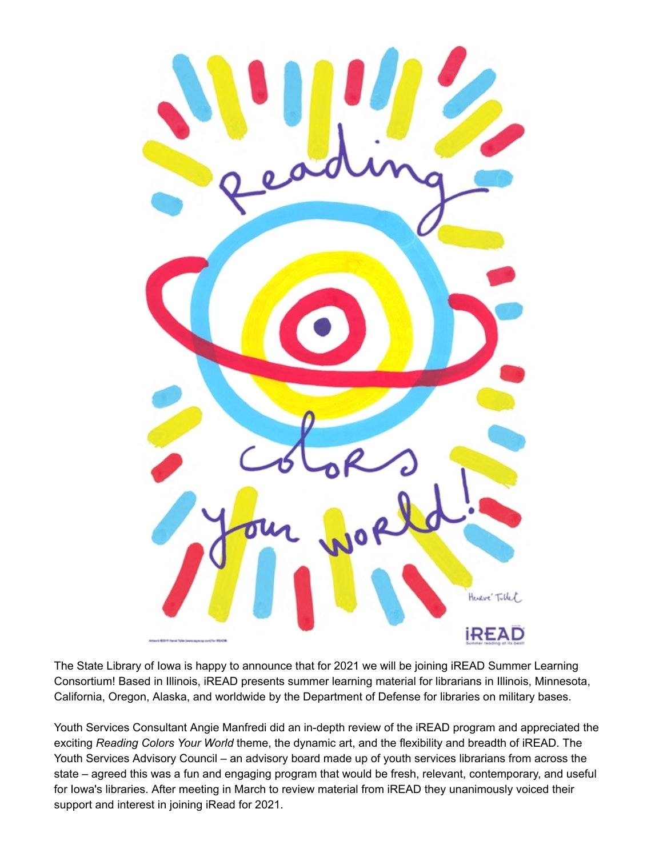

The State Library of Iowa is happy to announce that for 2021 we will be joining iREAD Summer Learning Consortium! Based in Illinois, iREAD presents summer learning material for librarians in Illinois, Minnesota, California, Oregon, Alaska, and worldwide by the Department of Defense for libraries on military bases.

Youth Services Consultant Angie Manfredi did an in-depth review of the iREAD program and appreciated the exciting *Reading Colors Your World* theme, the dynamic art, and the flexibility and breadth of iREAD. The Youth Services Advisory Council – an advisory board made up of youth services librarians from across the state – agreed this was a fun and engaging program that would be fresh, relevant, contemporary, and useful for Iowa's libraries. After meeting in March to review material from iREAD they unanimously voiced their support and interest in joining iRead for 2021.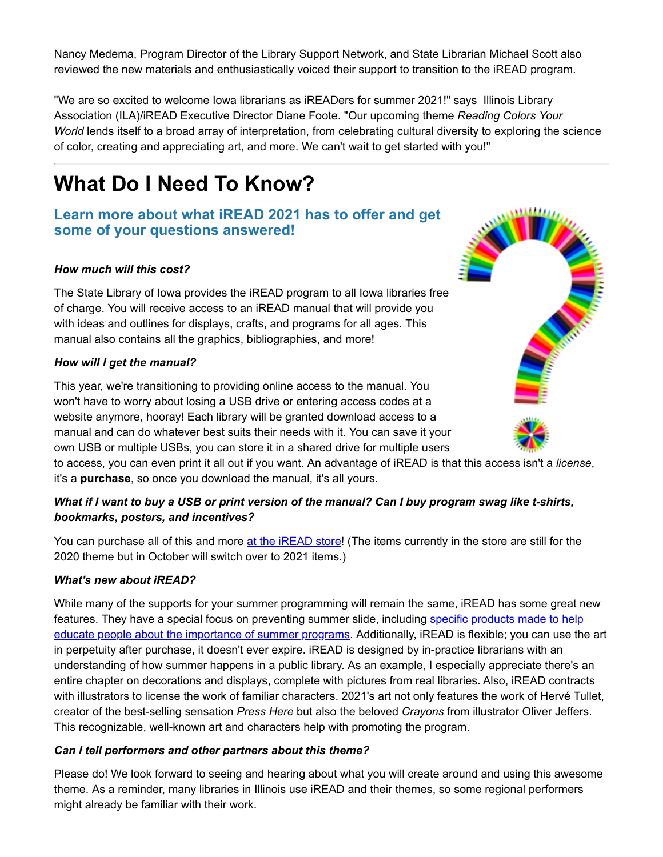Nancy Medema, Program Director of the Library Support Network, and State Librarian Michael Scott also reviewed the new materials and enthusiastically voiced their support to transition to the iREAD program.

"We are so excited to welcome Iowa librarians as iREADers for summer 2021!" says Illinois Library Association (ILA)/iREAD Executive Director Diane Foote. "Our upcoming theme *Reading Colors Your World* lends itself to a broad array of interpretation, from celebrating cultural diversity to exploring the science of color, creating and appreciating art, and more. We can't wait to get started with you!"

## **What Do I Need To Know?**

## **Learn more about what iREAD 2021 has to offer and get some of your questions answered!**

#### *How much will this cost?*

The State Library of Iowa provides the iREAD program to all Iowa libraries free of charge. You will receive access to an iREAD manual that will provide you with ideas and outlines for displays, crafts, and programs for all ages. This manual also contains all the graphics, bibliographies, and more!

#### *How will I get the manual?*

This year, we're transitioning to providing online access to the manual. You won't have to worry about losing a USB drive or entering access codes at a website anymore, hooray! Each library will be granted download access to a manual and can do whatever best suits their needs with it. You can save it your own USB or multiple USBs, you can store it in a shared drive for multiple users

to access, you can even print it all out if you want. An advantage of iREAD is that this access isn't a *license*, it's a **purchase**, so once you download the manual, it's all yours.

#### *What if I want to buy a USB or print version of the manual? Can I buy program swag like t-shirts, bookmarks, posters, and incentives?*

You can purchase all of this and more [at the iREAD store!](https://www.ireadprogram.org/store?utm_medium=email&utm_source=govdelivery) (The items currently in the store are still for the 2020 theme but in October will switch over to 2021 items.)

#### *What's new about iREAD?*

While many of the supports for your summer programming will remain the same, iREAD has some great new features. They have a special focus on preventing summer slide, including specific products made to help [educate people about the importance of summer programs. Additionally, iREAD is flexible; you can use th](https://www.ireadprogram.org/store?category=8%2Fprevent-summer-slide&utm_medium=email&utm_source=govdelivery)e art in perpetuity after purchase, it doesn't ever expire. iREAD is designed by in-practice librarians with an understanding of how summer happens in a public library. As an example, I especially appreciate there's an entire chapter on decorations and displays, complete with pictures from real libraries. Also, iREAD contracts with illustrators to license the work of familiar characters. 2021's art not only features the work of Hervé Tullet, creator of the best-selling sensation *Press Here* but also the beloved *Crayons* from illustrator Oliver Jeffers. This recognizable, well-known art and characters help with promoting the program.

#### *Can I tell performers and other partners about this theme?*

Please do! We look forward to seeing and hearing about what you will create around and using this awesome theme. As a reminder, many libraries in Illinois use iREAD and their themes, so some regional performers might already be familiar with their work.

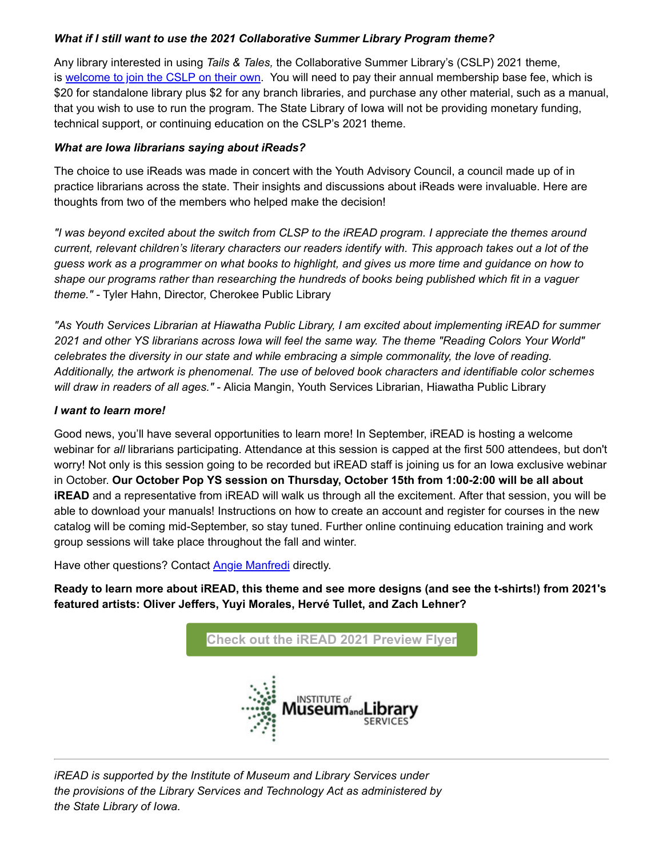#### *What if I still want to use the 2021 Collaborative Summer Library Program theme?*

Any library interested in using *Tails & Tales,* the Collaborative Summer Library's (CSLP) 2021 theme, is [welcome to join the CSLP on their own](https://www.cslpreads.org/membership-information/join-cslp/?utm_medium=email&utm_source=govdelivery). You will need to pay their annual membership base fee, which is \$20 for standalone library plus \$2 for any branch libraries, and purchase any other material, such as a manual, that you wish to use to run the program. The State Library of Iowa will not be providing monetary funding, technical support, or continuing education on the CSLP's 2021 theme.

#### *What are Iowa librarians saying about iReads?*

The choice to use iReads was made in concert with the Youth Advisory Council, a council made up of in practice librarians across the state. Their insights and discussions about iReads were invaluable. Here are thoughts from two of the members who helped make the decision!

*"I was beyond excited about the switch from CLSP to the iREAD program. I appreciate the themes around current, relevant children's literary characters our readers identify with. This approach takes out a lot of the guess work as a programmer on what books to highlight, and gives us more time and guidance on how to shape our programs rather than researching the hundreds of books being published which fit in a vaguer theme." -* Tyler Hahn, Director, Cherokee Public Library

*"As Youth Services Librarian at Hiawatha Public Library, I am excited about implementing iREAD for summer 2021 and other YS librarians across Iowa will feel the same way. The theme "Reading Colors Your World" celebrates the diversity in our state and while embracing a simple commonality, the love of reading. Additionally, the artwork is phenomenal. The use of beloved book characters and identifiable color schemes will draw in readers of all ages." -* Alicia Mangin, Youth Services Librarian, Hiawatha Public Library

#### *I want to learn more!*

Good news, you'll have several opportunities to learn more! In September, iREAD is hosting a welcome webinar for *all* librarians participating. Attendance at this session is capped at the first 500 attendees, but don't worry! Not only is this session going to be recorded but iREAD staff is joining us for an Iowa exclusive webinar in October. **Our October Pop YS session on Thursday, October 15th from 1:00-2:00 will be all about iREAD** and a representative from *iREAD* will walk us through all the excitement. After that session, you will be able to download your manuals! Instructions on how to create an account and register for courses in the new catalog will be coming mid-September, so stay tuned. Further online continuing education training and work group sessions will take place throughout the fall and winter.

Have other questions? Contact **Angie Manfredi** directly.

**Ready to learn more about iREAD, this theme and see more designs (and see the t-shirts!) from 2021's featured artists: Oliver Jeffers, Yuyi Morales, Hervé Tullet, and Zach Lehner?**



*iREAD is supported by the Institute of Museum and Library Services under the provisions of the Library Services and Technology Act as administered by the State Library of Iowa.*